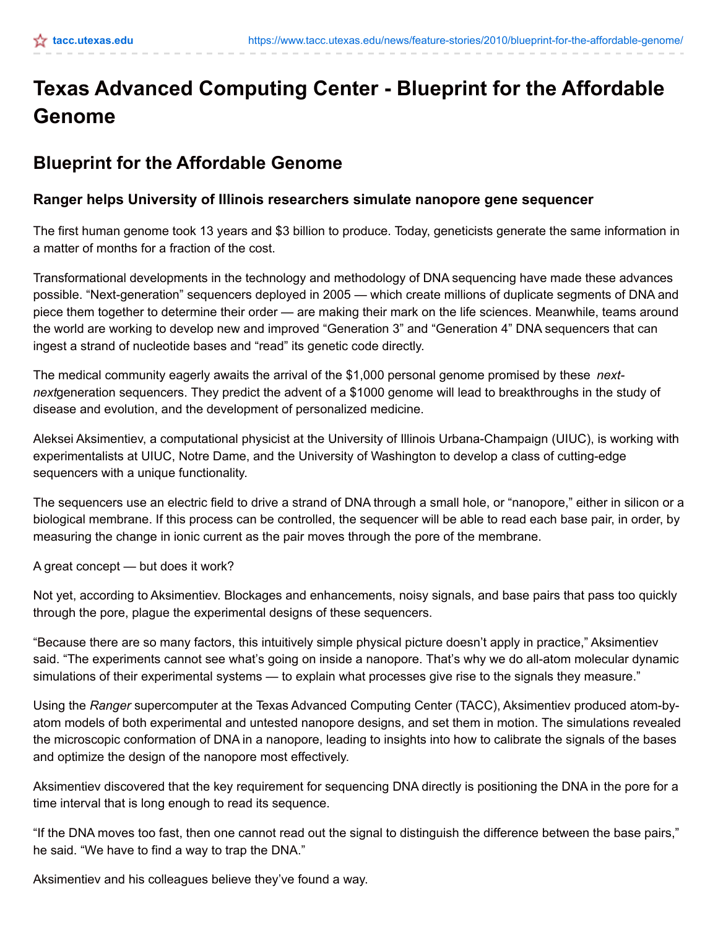## **Texas Advanced Computing Center - Blueprint for the Affordable Genome**

## **Blueprint for the Affordable Genome**

## **Ranger helps University of Illinois researchers simulate nanopore gene sequencer**

The first human genome took 13 years and \$3 billion to produce. Today, geneticists generate the same information in a matter of months for a fraction of the cost.

Transformational developments in the technology and methodology of DNA sequencing have made these advances possible. "Next-generation" sequencers deployed in 2005 — which create millions of duplicate segments of DNA and piece them together to determine their order — are making their mark on the life sciences. Meanwhile, teams around the world are working to develop new and improved "Generation 3" and "Generation 4" DNA sequencers that can ingest a strand of nucleotide bases and "read" its genetic code directly.

The medical community eagerly awaits the arrival of the \$1,000 personal genome promised by these *nextnext*generation sequencers. They predict the advent of a \$1000 genome will lead to breakthroughs in the study of disease and evolution, and the development of personalized medicine.

Aleksei Aksimentiev, a computational physicist at the University of Illinois Urbana-Champaign (UIUC), is working with experimentalists at UIUC, Notre Dame, and the University of Washington to develop a class of cutting-edge sequencers with a unique functionality.

The sequencers use an electric field to drive a strand of DNA through a small hole, or "nanopore," either in silicon or a biological membrane. If this process can be controlled, the sequencer will be able to read each base pair, in order, by measuring the change in ionic current as the pair moves through the pore of the membrane.

A great concept — but does it work?

Not yet, according to Aksimentiev. Blockages and enhancements, noisy signals, and base pairs that pass too quickly through the pore, plague the experimental designs of these sequencers.

"Because there are so many factors, this intuitively simple physical picture doesn't apply in practice," Aksimentiev said. "The experiments cannot see what's going on inside a nanopore. That's why we do all-atom molecular dynamic simulations of their experimental systems — to explain what processes give rise to the signals they measure."

Using the *Ranger* supercomputer at the Texas Advanced Computing Center (TACC), Aksimentiev produced atom-byatom models of both experimental and untested nanopore designs, and set them in motion. The simulations revealed the microscopic conformation of DNA in a nanopore, leading to insights into how to calibrate the signals of the bases and optimize the design of the nanopore most effectively.

Aksimentiev discovered that the key requirement for sequencing DNA directly is positioning the DNA in the pore for a time interval that is long enough to read its sequence.

"If the DNA moves too fast, then one cannot read out the signal to distinguish the difference between the base pairs," he said. "We have to find a way to trap the DNA."

Aksimentiev and his colleagues believe they've found a way.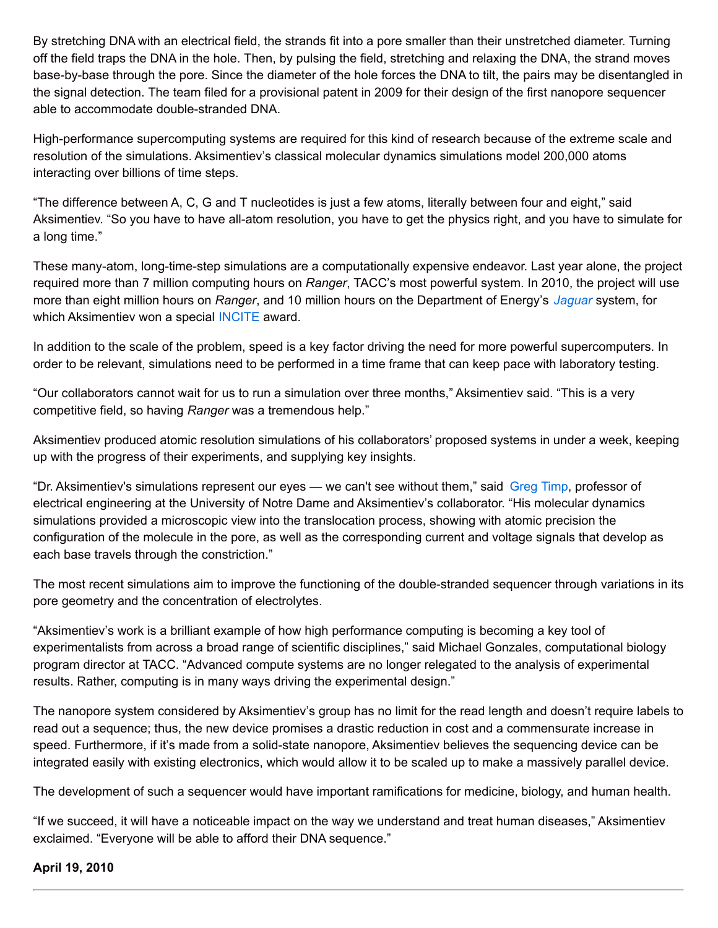By stretching DNA with an electrical field, the strands fit into a pore smaller than their unstretched diameter. Turning off the field traps the DNA in the hole. Then, by pulsing the field, stretching and relaxing the DNA, the strand moves base-by-base through the pore. Since the diameter of the hole forces the DNA to tilt, the pairs may be disentangled in the signal detection. The team filed for a provisional patent in 2009 for their design of the first nanopore sequencer able to accommodate double-stranded DNA.

High-performance supercomputing systems are required for this kind of research because of the extreme scale and resolution of the simulations. Aksimentiev's classical molecular dynamics simulations model 200,000 atoms interacting over billions of time steps.

"The difference between A, C, G and T nucleotides is just a few atoms, literally between four and eight," said Aksimentiev. "So you have to have all-atom resolution, you have to get the physics right, and you have to simulate for a long time."

These many-atom, long-time-step simulations are a computationally expensive endeavor. Last year alone, the project required more than 7 million computing hours on *Ranger*, TACC's most powerful system. In 2010, the project will use more than eight million hours on *Ranger*, and 10 million hours on the Department of Energy's *[Jaguar](http://www.nccs.gov/computing-resources/jaguar/)* system, for which Aksimentiev won a special [INCITE](http://www.er.doe.gov/ascr/incite/) award.

In addition to the scale of the problem, speed is a key factor driving the need for more powerful supercomputers. In order to be relevant, simulations need to be performed in a time frame that can keep pace with laboratory testing.

"Our collaborators cannot wait for us to run a simulation over three months," Aksimentiev said. "This is a very competitive field, so having *Ranger* was a tremendous help."

Aksimentiev produced atomic resolution simulations of his collaborators' proposed systems in under a week, keeping up with the progress of their experiments, and supplying key insights.

"Dr. Aksimentiev's simulations represent our eyes — we can't see without them," said [Greg](https://netfiles.uiuc.edu/gtimp/www/) Timp, professor of electrical engineering at the University of Notre Dame and Aksimentiev's collaborator. "His molecular dynamics simulations provided a microscopic view into the translocation process, showing with atomic precision the configuration of the molecule in the pore, as well as the corresponding current and voltage signals that develop as each base travels through the constriction."

The most recent simulations aim to improve the functioning of the double-stranded sequencer through variations in its pore geometry and the concentration of electrolytes.

"Aksimentiev's work is a brilliant example of how high performance computing is becoming a key tool of experimentalists from across a broad range of scientific disciplines," said Michael Gonzales, computational biology program director at TACC. "Advanced compute systems are no longer relegated to the analysis of experimental results. Rather, computing is in many ways driving the experimental design."

The nanopore system considered by Aksimentiev's group has no limit for the read length and doesn't require labels to read out a sequence; thus, the new device promises a drastic reduction in cost and a commensurate increase in speed. Furthermore, if it's made from a solid-state nanopore, Aksimentiev believes the sequencing device can be integrated easily with existing electronics, which would allow it to be scaled up to make a massively parallel device.

The development of such a sequencer would have important ramifications for medicine, biology, and human health.

"If we succeed, it will have a noticeable impact on the way we understand and treat human diseases," Aksimentiev exclaimed. "Everyone will be able to afford their DNA sequence."

## **April 19, 2010**